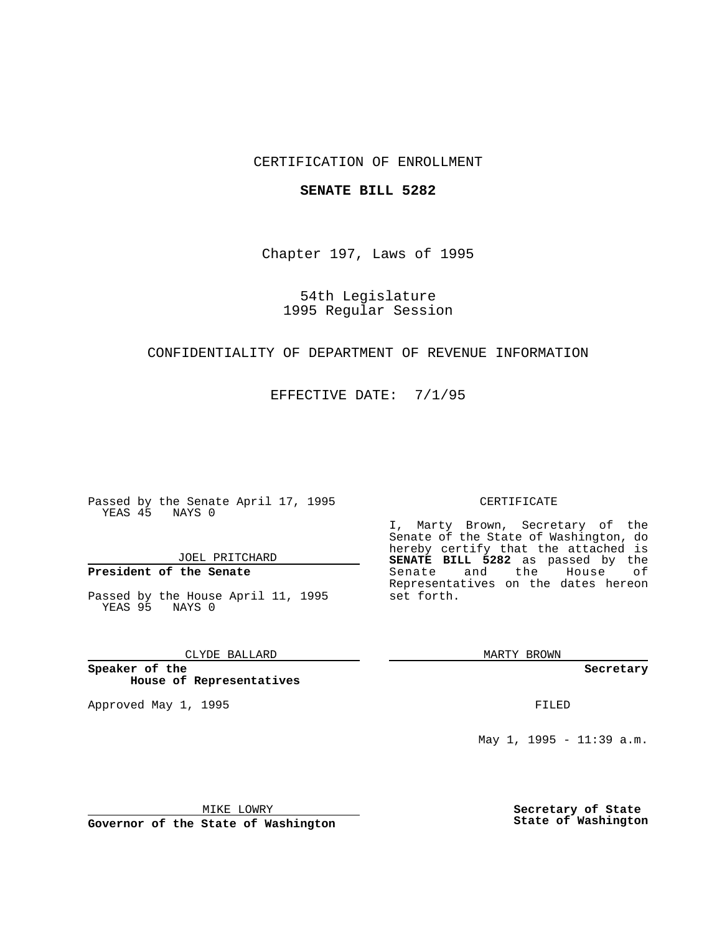# CERTIFICATION OF ENROLLMENT

#### **SENATE BILL 5282**

Chapter 197, Laws of 1995

## 54th Legislature 1995 Regular Session

## CONFIDENTIALITY OF DEPARTMENT OF REVENUE INFORMATION

EFFECTIVE DATE: 7/1/95

Passed by the Senate April 17, 1995 YEAS 45 NAYS 0

JOEL PRITCHARD

**President of the Senate**

Passed by the House April 11, 1995 YEAS 95 NAYS 0

CLYDE BALLARD

**Speaker of the House of Representatives**

Approved May 1, 1995 **FILED** 

#### CERTIFICATE

I, Marty Brown, Secretary of the Senate of the State of Washington, do hereby certify that the attached is **SENATE BILL 5282** as passed by the Senate and the House of Representatives on the dates hereon set forth.

MARTY BROWN

**Secretary**

May 1, 1995 - 11:39 a.m.

MIKE LOWRY

**Governor of the State of Washington**

**Secretary of State State of Washington**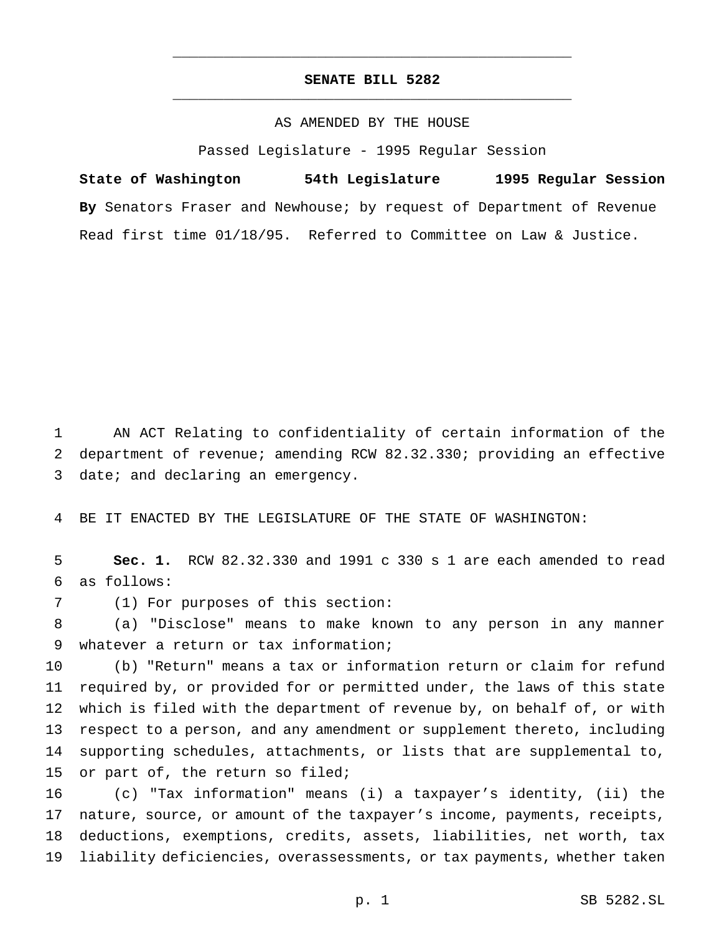# **SENATE BILL 5282** \_\_\_\_\_\_\_\_\_\_\_\_\_\_\_\_\_\_\_\_\_\_\_\_\_\_\_\_\_\_\_\_\_\_\_\_\_\_\_\_\_\_\_\_\_\_\_

\_\_\_\_\_\_\_\_\_\_\_\_\_\_\_\_\_\_\_\_\_\_\_\_\_\_\_\_\_\_\_\_\_\_\_\_\_\_\_\_\_\_\_\_\_\_\_

## AS AMENDED BY THE HOUSE

Passed Legislature - 1995 Regular Session

**State of Washington 54th Legislature 1995 Regular Session By** Senators Fraser and Newhouse; by request of Department of Revenue Read first time 01/18/95. Referred to Committee on Law & Justice.

 AN ACT Relating to confidentiality of certain information of the department of revenue; amending RCW 82.32.330; providing an effective 3 date; and declaring an emergency.

BE IT ENACTED BY THE LEGISLATURE OF THE STATE OF WASHINGTON:

 **Sec. 1.** RCW 82.32.330 and 1991 c 330 s 1 are each amended to read as follows:

(1) For purposes of this section:

 (a) "Disclose" means to make known to any person in any manner whatever a return or tax information;

 (b) "Return" means a tax or information return or claim for refund required by, or provided for or permitted under, the laws of this state which is filed with the department of revenue by, on behalf of, or with respect to a person, and any amendment or supplement thereto, including supporting schedules, attachments, or lists that are supplemental to, 15 or part of, the return so filed;

 (c) "Tax information" means (i) a taxpayer's identity, (ii) the nature, source, or amount of the taxpayer's income, payments, receipts, deductions, exemptions, credits, assets, liabilities, net worth, tax liability deficiencies, overassessments, or tax payments, whether taken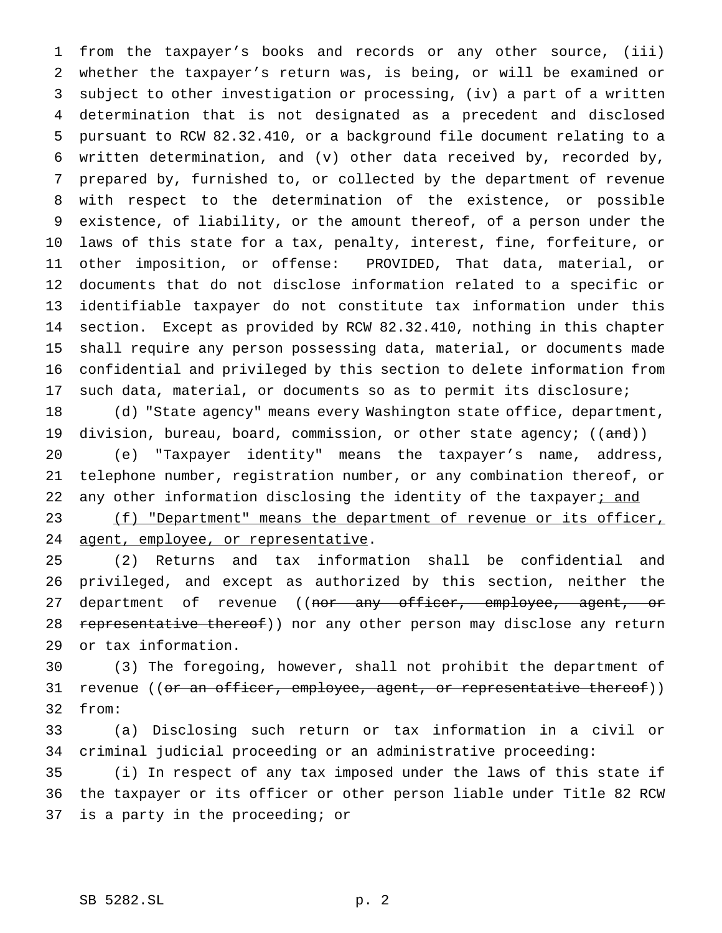from the taxpayer's books and records or any other source, (iii) whether the taxpayer's return was, is being, or will be examined or subject to other investigation or processing, (iv) a part of a written determination that is not designated as a precedent and disclosed pursuant to RCW 82.32.410, or a background file document relating to a written determination, and (v) other data received by, recorded by, prepared by, furnished to, or collected by the department of revenue with respect to the determination of the existence, or possible existence, of liability, or the amount thereof, of a person under the laws of this state for a tax, penalty, interest, fine, forfeiture, or other imposition, or offense: PROVIDED, That data, material, or documents that do not disclose information related to a specific or identifiable taxpayer do not constitute tax information under this section. Except as provided by RCW 82.32.410, nothing in this chapter shall require any person possessing data, material, or documents made confidential and privileged by this section to delete information from such data, material, or documents so as to permit its disclosure;

 (d) "State agency" means every Washington state office, department, 19 division, bureau, board, commission, or other state agency;  $((and))$ 

 (e) "Taxpayer identity" means the taxpayer's name, address, telephone number, registration number, or any combination thereof, or 22 any other information disclosing the identity of the taxpayer; and

23 (f) "Department" means the department of revenue or its officer, 24 agent, employee, or representative.

 (2) Returns and tax information shall be confidential and privileged, and except as authorized by this section, neither the 27 department of revenue ((nor any officer, employee, agent, or 28 representative thereof)) nor any other person may disclose any return or tax information.

 (3) The foregoing, however, shall not prohibit the department of 31 revenue ((or an officer, employee, agent, or representative thereof)) from:

 (a) Disclosing such return or tax information in a civil or criminal judicial proceeding or an administrative proceeding:

 (i) In respect of any tax imposed under the laws of this state if the taxpayer or its officer or other person liable under Title 82 RCW is a party in the proceeding; or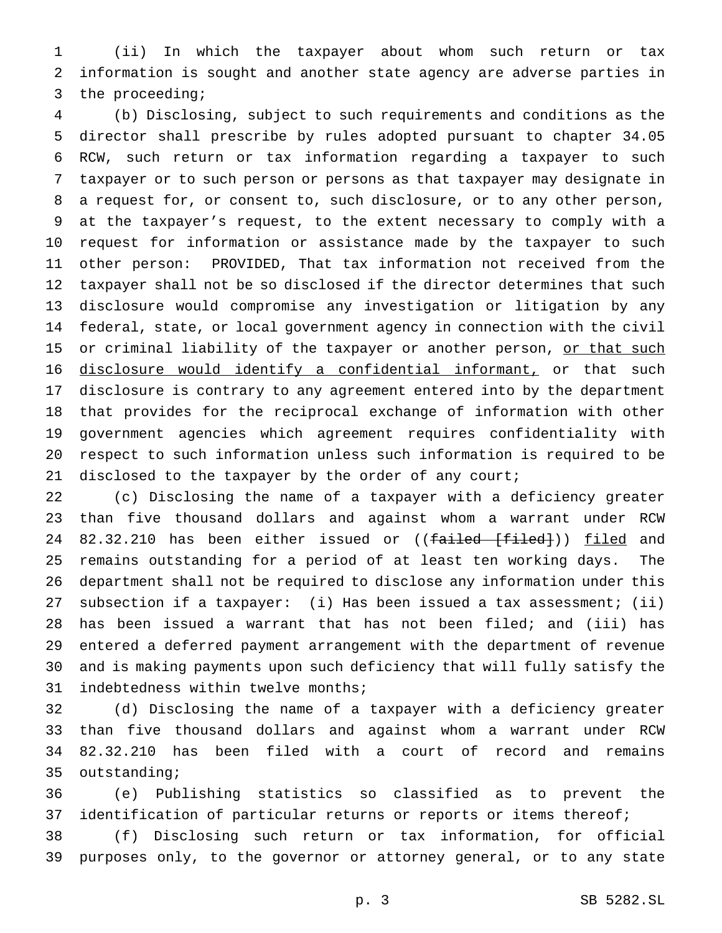(ii) In which the taxpayer about whom such return or tax information is sought and another state agency are adverse parties in the proceeding;

 (b) Disclosing, subject to such requirements and conditions as the director shall prescribe by rules adopted pursuant to chapter 34.05 RCW, such return or tax information regarding a taxpayer to such taxpayer or to such person or persons as that taxpayer may designate in a request for, or consent to, such disclosure, or to any other person, at the taxpayer's request, to the extent necessary to comply with a request for information or assistance made by the taxpayer to such other person: PROVIDED, That tax information not received from the taxpayer shall not be so disclosed if the director determines that such disclosure would compromise any investigation or litigation by any federal, state, or local government agency in connection with the civil 15 or criminal liability of the taxpayer or another person, or that such disclosure would identify a confidential informant, or that such disclosure is contrary to any agreement entered into by the department that provides for the reciprocal exchange of information with other government agencies which agreement requires confidentiality with respect to such information unless such information is required to be 21 disclosed to the taxpayer by the order of any court;

 (c) Disclosing the name of a taxpayer with a deficiency greater than five thousand dollars and against whom a warrant under RCW 24 82.32.210 has been either issued or ((failed [filed])) filed and remains outstanding for a period of at least ten working days. The department shall not be required to disclose any information under this subsection if a taxpayer: (i) Has been issued a tax assessment; (ii) has been issued a warrant that has not been filed; and (iii) has entered a deferred payment arrangement with the department of revenue and is making payments upon such deficiency that will fully satisfy the indebtedness within twelve months;

 (d) Disclosing the name of a taxpayer with a deficiency greater than five thousand dollars and against whom a warrant under RCW 82.32.210 has been filed with a court of record and remains outstanding;

 (e) Publishing statistics so classified as to prevent the 37 identification of particular returns or reports or items thereof;

 (f) Disclosing such return or tax information, for official purposes only, to the governor or attorney general, or to any state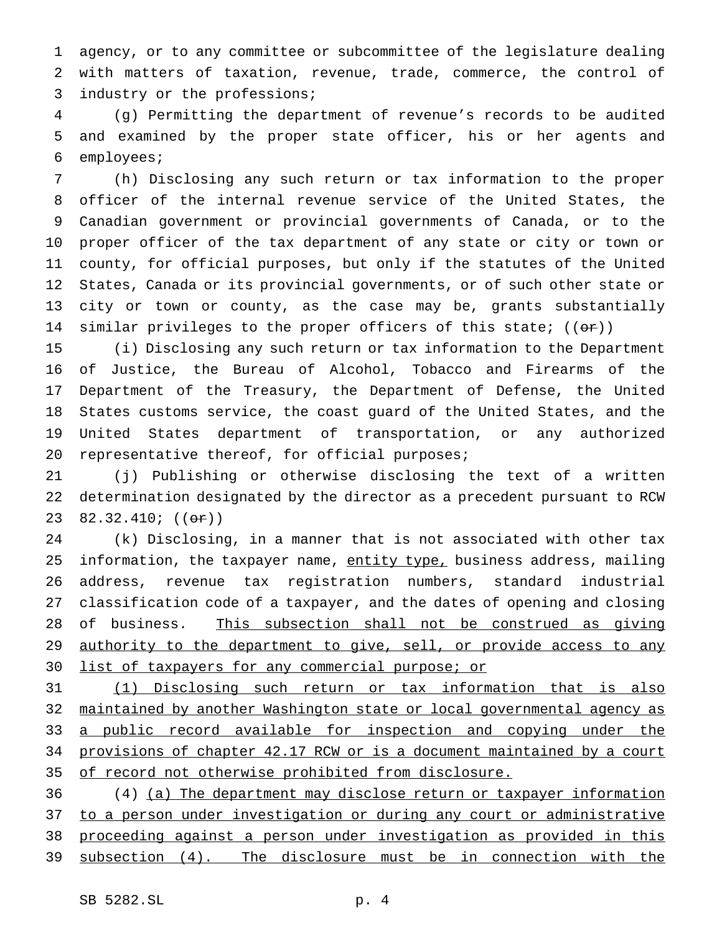agency, or to any committee or subcommittee of the legislature dealing with matters of taxation, revenue, trade, commerce, the control of 3 industry or the professions;

 (g) Permitting the department of revenue's records to be audited and examined by the proper state officer, his or her agents and employees;

 (h) Disclosing any such return or tax information to the proper officer of the internal revenue service of the United States, the Canadian government or provincial governments of Canada, or to the proper officer of the tax department of any state or city or town or county, for official purposes, but only if the statutes of the United States, Canada or its provincial governments, or of such other state or city or town or county, as the case may be, grants substantially 14 similar privileges to the proper officers of this state;  $((\theta \cdot \mathbf{r}))$ 

 (i) Disclosing any such return or tax information to the Department of Justice, the Bureau of Alcohol, Tobacco and Firearms of the Department of the Treasury, the Department of Defense, the United States customs service, the coast guard of the United States, and the United States department of transportation, or any authorized 20 representative thereof, for official purposes;

 (j) Publishing or otherwise disclosing the text of a written determination designated by the director as a precedent pursuant to RCW 23 82.32.410; ((or))

 (k) Disclosing, in a manner that is not associated with other tax 25 information, the taxpayer name, entity type, business address, mailing address, revenue tax registration numbers, standard industrial classification code of a taxpayer, and the dates of opening and closing of business. This subsection shall not be construed as giving 29 authority to the department to give, sell, or provide access to any 30 list of taxpayers for any commercial purpose; or

 (1) Disclosing such return or tax information that is also maintained by another Washington state or local governmental agency as 33 a public record available for inspection and copying under the provisions of chapter 42.17 RCW or is a document maintained by a court of record not otherwise prohibited from disclosure.

 (4) (a) The department may disclose return or taxpayer information to a person under investigation or during any court or administrative proceeding against a person under investigation as provided in this subsection (4). The disclosure must be in connection with the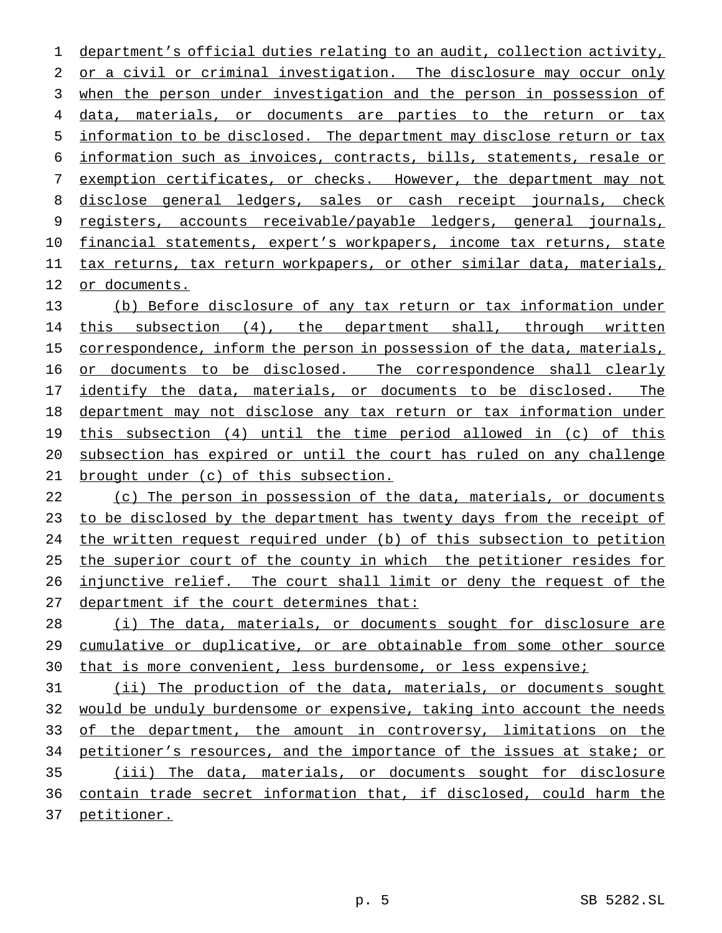department's official duties relating to an audit, collection activity, 2 or a civil or criminal investigation. The disclosure may occur only when the person under investigation and the person in possession of data, materials, or documents are parties to the return or tax information to be disclosed. The department may disclose return or tax information such as invoices, contracts, bills, statements, resale or 7 exemption certificates, or checks. However, the department may not disclose general ledgers, sales or cash receipt journals, check registers, accounts receivable/payable ledgers, general journals, 10 financial statements, expert's workpapers, income tax returns, state 11 tax returns, tax return workpapers, or other similar data, materials, or documents.

 (b) Before disclosure of any tax return or tax information under 14 this subsection (4), the department shall, through written 15 correspondence, inform the person in possession of the data, materials, 16 or documents to be disclosed. The correspondence shall clearly 17 identify the data, materials, or documents to be disclosed. The department may not disclose any tax return or tax information under this subsection (4) until the time period allowed in (c) of this subsection has expired or until the court has ruled on any challenge brought under (c) of this subsection.

22 (c) The person in possession of the data, materials, or documents to be disclosed by the department has twenty days from the receipt of the written request required under (b) of this subsection to petition the superior court of the county in which the petitioner resides for injunctive relief. The court shall limit or deny the request of the 27 department if the court determines that:

 (i) The data, materials, or documents sought for disclosure are cumulative or duplicative, or are obtainable from some other source 30 that is more convenient, less burdensome, or less expensive;

 (ii) The production of the data, materials, or documents sought would be unduly burdensome or expensive, taking into account the needs 33 of the department, the amount in controversy, limitations on the 34 petitioner's resources, and the importance of the issues at stake; or (iii) The data, materials, or documents sought for disclosure contain trade secret information that, if disclosed, could harm the petitioner.